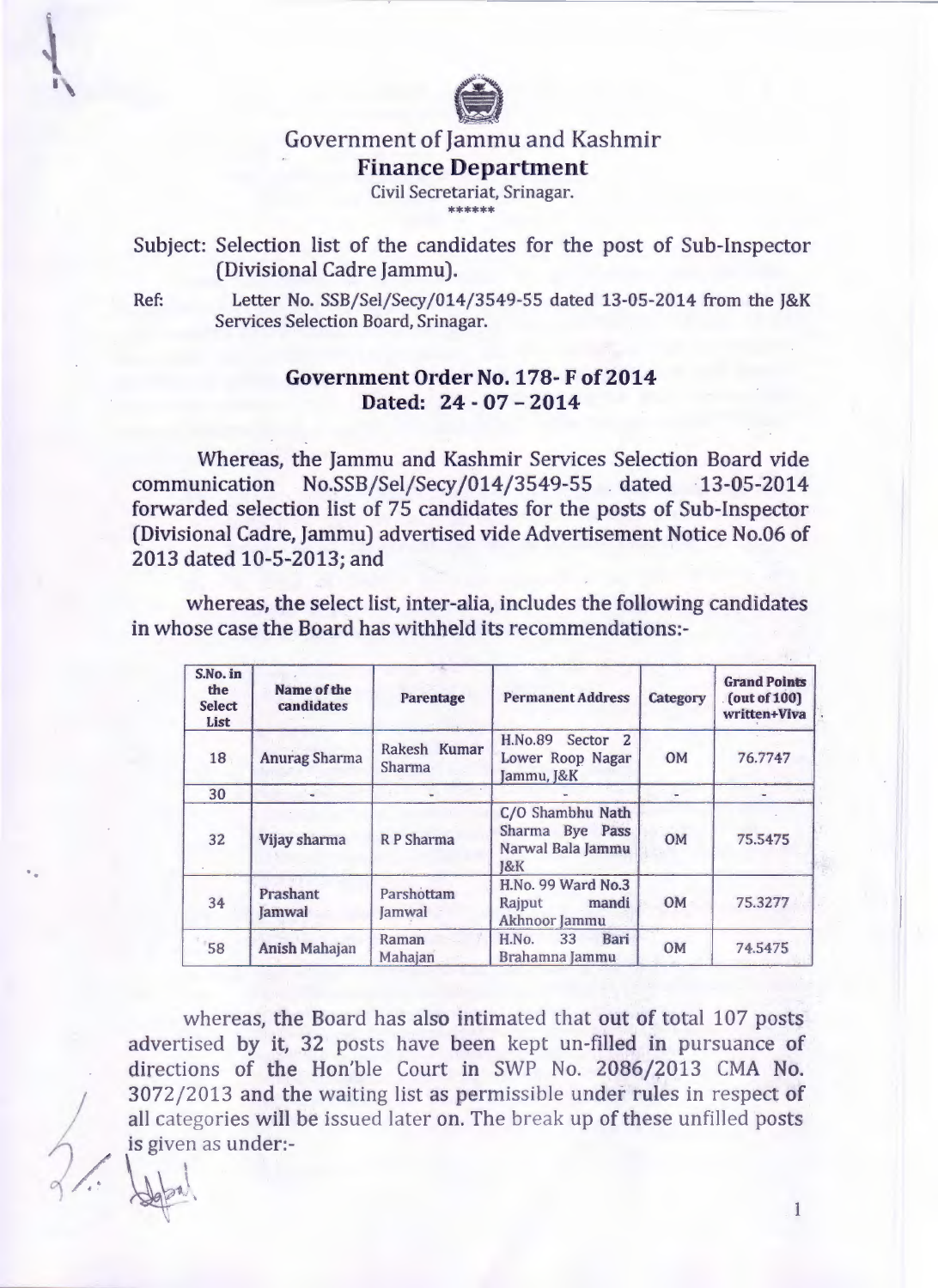

## Government of Jammu and Kashmir **Finance Department**  Civil Secretariat, Srinagar.

the the the the the the

#### Subject: Selection list of the candidates for the post of Sub-Inspector (Divisional Cadre Jammu).

 $\frac{1}{\sqrt{2\pi}}$ 

Ref: Letter No. SSB/Sel/Secy/014/3549-55 dated 13-05-2014 from the J&K Services Selection Board, Srinagar.

#### **Government Order No. 178- F of 2014 Dated: 24 - 07 - 2014**

Whereas, the Jammu and Kashmir Services Selection Board vide communication No.SSB/Sel/Secy/014/3549-55 .dated 13-05-2014 forwarded selection list of 75 candidates for the posts of Sub-Inspector (Divisional Cadre, Jammu) advertised vide Advertisement Notice No.06 of 2013 dated 10-5-2013; and

whereas, the select list, inter-alia, includes the following candidates in whose case the Board has withheld its recommendations:-

| S.No. in<br>the<br><b>Select</b><br>List | Name of the<br>candidates | Parentage              | <b>Permanent Address</b>                                                      | Category  | <b>Grand Points</b><br>(out of 100)<br>written+Viva |
|------------------------------------------|---------------------------|------------------------|-------------------------------------------------------------------------------|-----------|-----------------------------------------------------|
| 18                                       | <b>Anurag Sharma</b>      | Rakesh Kumar<br>Sharma | H.No.89 Sector 2<br>Lower Roop Nagar<br>Jammu, J&K                            | <b>OM</b> | 76.7747                                             |
| 30                                       |                           |                        |                                                                               |           |                                                     |
| 32                                       | Vijay sharma              | R P Sharma             | C/O Shambhu Nath<br>Sharma Bye Pass<br>Narwal Bala Jammu<br>$18$ <sub>K</sub> | OM        | 75.5475                                             |
| 34                                       | Prashant<br>Jamwal        | Parshottam<br>Jamwal   | H.No. 99 Ward No.3<br>Raiput<br>mandi<br>Akhnoor Jammu                        | <b>OM</b> | 75.3277                                             |
| 58                                       | <b>Anish Mahajan</b>      | Raman<br>Mahajan       | Bari<br>H.No.<br>33<br>Brahamna Jammu                                         | <b>OM</b> | 74.5475                                             |

whereas, the Board has also intimated that out of total 107 posts advertised by it, 32 posts have been kept un-filled in pursuance of directions of the Hon'ble Court in SWP No. 2086/2013 CMA No. 3072/2013 and the waiting list as permissible under rules in respect of<br>all categories will be issued later on. The break up of these unfilled posts<br>is given as under: all categories will be issued later on. The break up of these unfilled posts is given as under:-

 $\;$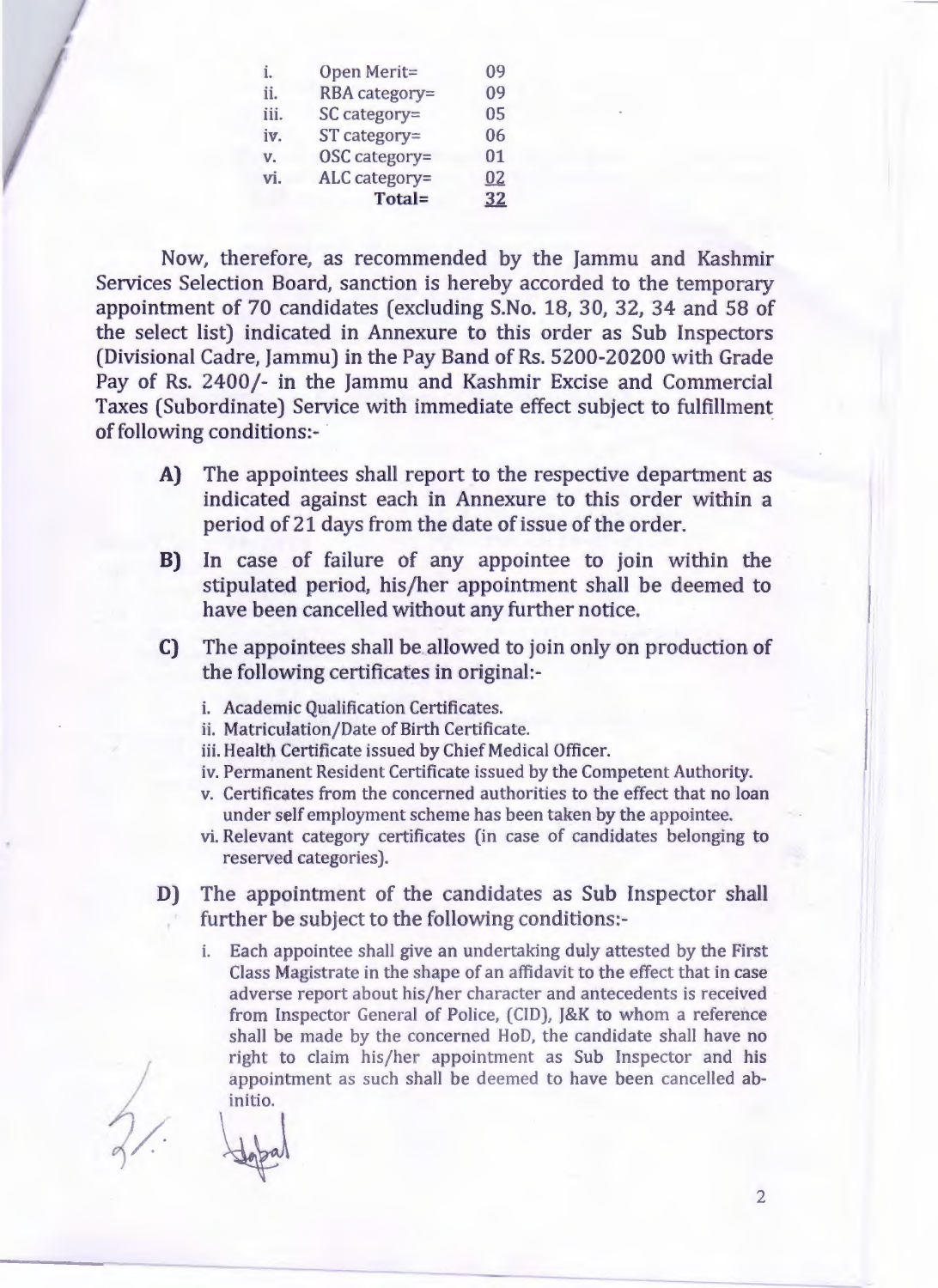| i.   | Open Merit=    | 09 |
|------|----------------|----|
| ii.  | RBA category=  | 09 |
| iii. | SC category=   | 05 |
| iv.  | $ST$ category= | 06 |
| V.   | OSC category=  | 01 |
| vi.  | ALC category=  | 02 |
|      | Total=         | 32 |

Now, therefore, as recommended by the Jammu and Kashmir Services Selection Board, sanction is hereby accorded to the temporary appointment of 70 candidates (excluding S.No. 18, 30, 32, 34 and 58 of the select list) indicated in Annexure to this order as Sub Inspectors (Divisional Cadre, Jammu) in the Pay Band of Rs. 5200-20200 with Grade Pay of Rs. 2400/- in the Jammu and Kashmir Excise and Commercial Taxes (Subordinate) Service with immediate effect subject to fulfillment of following conditions:- ·

- A) The appointees shall report to the respective department as indicated against each in Annexure to this order within a period of 21 days from the date of issue of the order.
- B) In case of failure of any appointee to join within the stipulated period, his/her appointment shall be deemed to have been cancelled without any further notice.
- C) The appointees shall be allowed to join only on production of the following certificates in original:
	- i. Academic Qualification Certificates.
	- ii. Matriculation/Date of Birth Certificate.
	- iii. Health Certificate issued by Chief Medical Officer.
	- iv. Permanent Resident Certificate issued by the Competent Authority.
	- v. Certificates from the concerned authorities to the effect that no loan under self employment scheme has been taken by the appointee.
	- vi. Relevant category certificates (in case of candidates belonging to reserved categories).
- D) The appointment of the candidates as Sub Inspector shall further be subject to the following conditions:
	- i. Each appointee shall give an undertaking duly attested by the First Class Magistrate in the shape of an affidavit to the effect that in case adverse report about his/her character and antecedents is received from Inspector General of Police, (CID), J&K to whom a reference shall be made by the concerned HoD, the candidate shall have no right to claim his/her appointment as Sub Inspector and his appointment as such shall be deemed to have been cancelled abinitio.

 $\frac{1}{2}$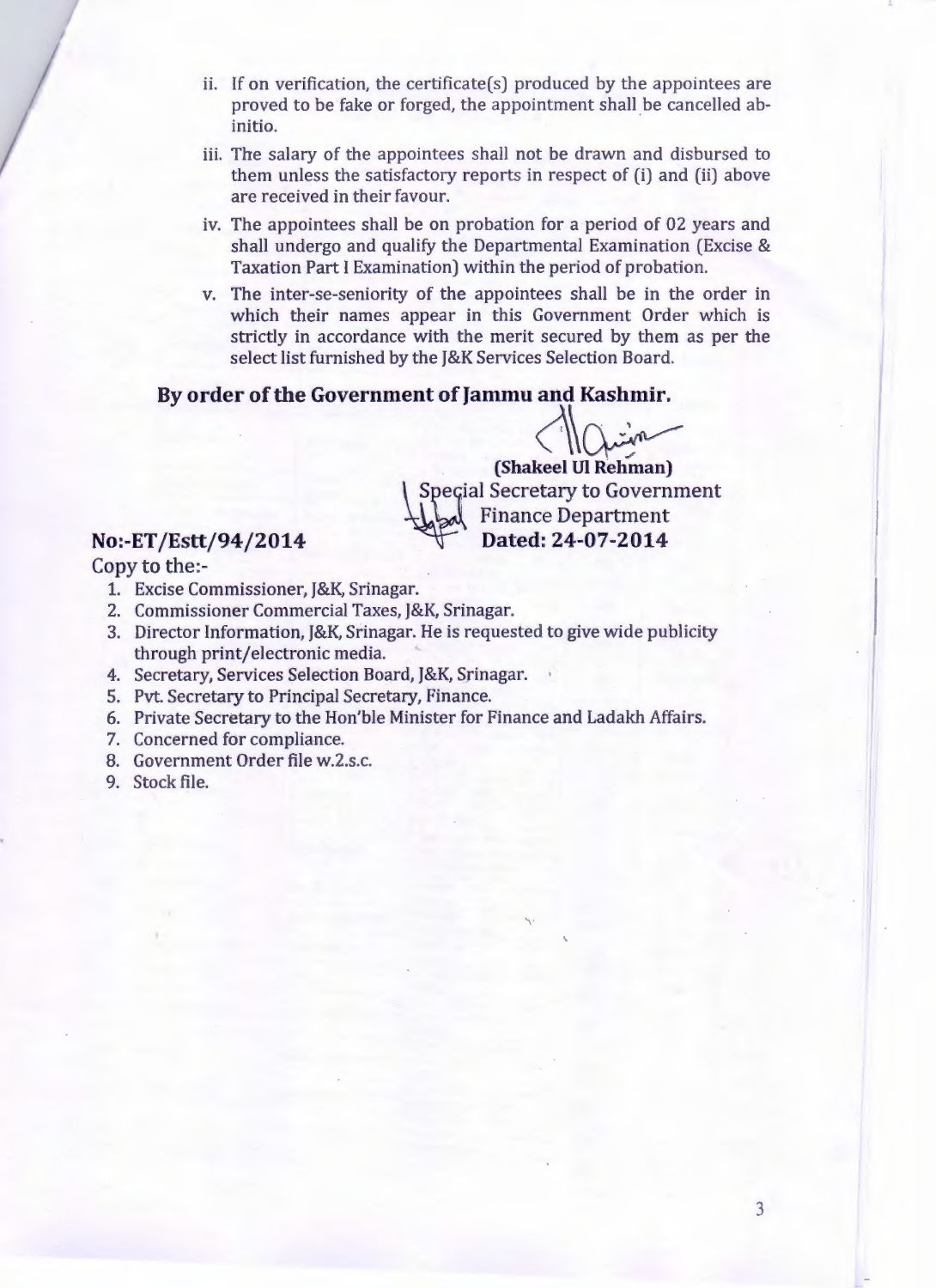- ii. If on verification, the certificate(s) produced by the appointees are proved to be fake or forged, the appointment shall be cancelled abinitio.
- iii. The salary of the appointees shall not be drawn and disbursed to them unless the satisfactory reports in respect of (i) and (ii) above are received in their favour.
- iv. The appointees shall be on probation for a period of 02 years and shall undergo and qualify the Departmental Examination (Excise & Taxation Part I Examination) within the period of probation.
- v. The inter-se-seniority of the appointees shall be in the order in which their names appear in this Government Order which is strictly in accordance with the merit secured by them as per the select list furnished by the J&K Services Selection Board.

#### **By order of the Government of Jammu and Kashmir.**

 $(Shakeel Ul Rehman)$ Special Secretary to Government Finance Department<br>Dated: 24-07-2014

### $No:$ -ET/Estt/94/2014

Copy to the:-

- 1. Excise Commissioner, J&K, Srinagar.
- 2. Commissioner Commercial Taxes, J&K, Srinagar.
- 3. Director Information, J&K, Srinagar. He is requested to give wide publicity through print/electronic media.
- 4. Secretary, Services Selection Board, J&K, Srinagar.
- 5. Pvt. Secretary to Principal Secretary, Finance.
- 6. Private Secretary to the Hon'ble Minister for Finance and Ladakh Affairs.
- 7. Concerned for compliance.
- 8. Government Order file w.2.s.c.
- 9. Stock file.

 $\cdot$  II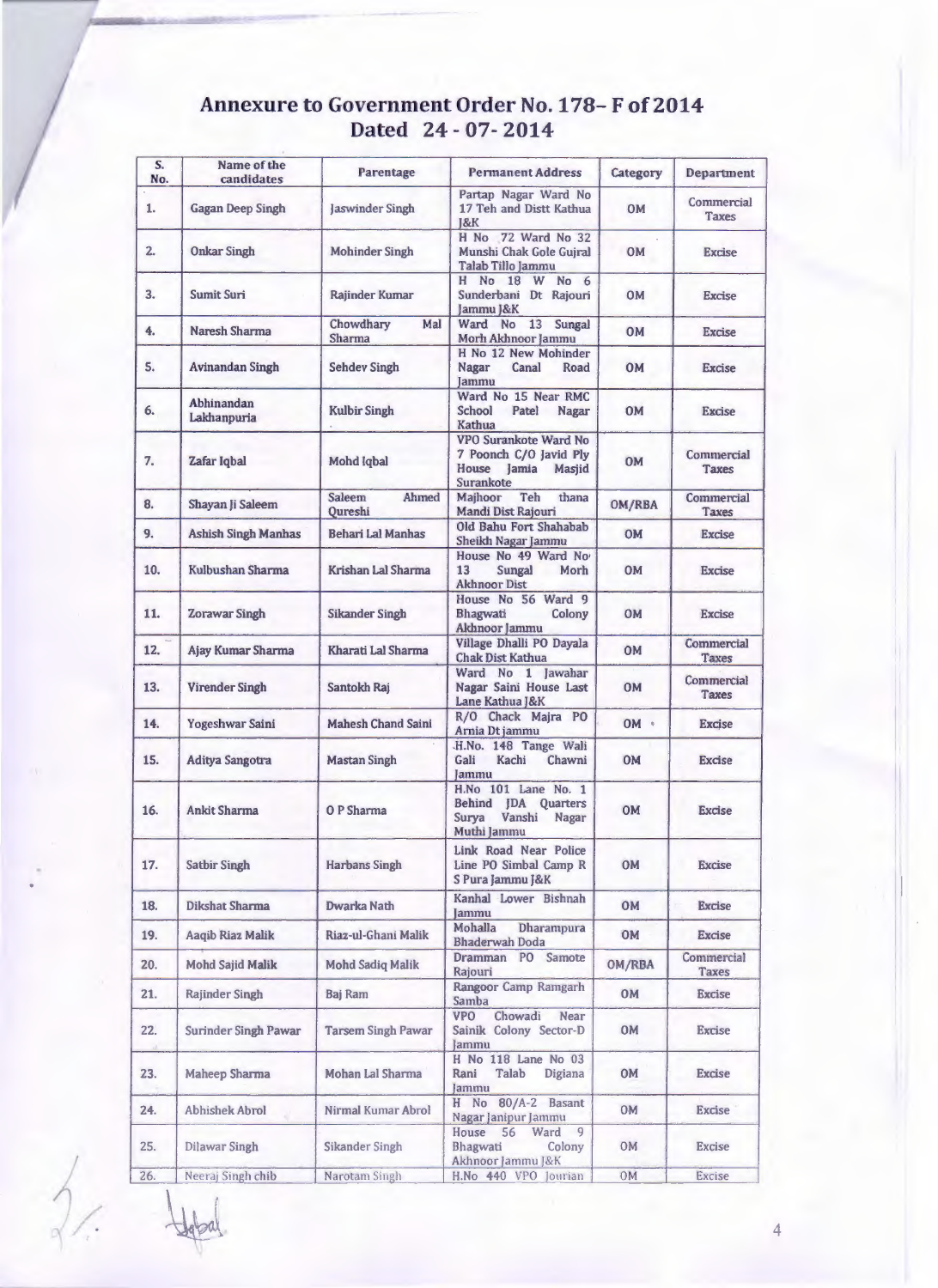# **Annexure to Government Order No. 178- F of 2014 Dated** 24 - 07- **2014**

| S.<br>No. | Name of the<br>candidates  | Parentage                         | <b>Permanent Address</b>                                                                     | Category     | Department                 |
|-----------|----------------------------|-----------------------------------|----------------------------------------------------------------------------------------------|--------------|----------------------------|
| 1.        | <b>Gagan Deep Singh</b>    | <b>Jaswinder Singh</b>            | Partap Nagar Ward No<br>17 Teh and Distt Kathua<br>18K                                       | <b>OM</b>    | Commercial<br><b>Taxes</b> |
| 2.        | <b>Onkar Singh</b>         | <b>Mohinder Singh</b>             | H No 72 Ward No 32<br>Munshi Chak Gole Guiral<br>Talab Tillo Jammu                           | <b>OM</b>    | <b>Excise</b>              |
| 3.        | Sumit Suri                 | Rajinder Kumar                    | H No 18 W No 6<br>Sunderbani Dt Rajouri<br>Jammu J&K                                         | <b>OM</b>    | <b>Excise</b>              |
| 4.        | Naresh Sharma              | Chowdhary<br>Mal<br><b>Sharma</b> | Ward No 13 Sungal<br>Morh Akhnoor Jammu                                                      | <b>OM</b>    | <b>Excise</b>              |
| 5.        | Avinandan Singh            | <b>Sehdev Singh</b>               | H No 12 New Mohinder<br><b>Nagar</b><br>Canal<br>Road<br><b>Jammu</b>                        | <b>OM</b>    | <b>Excise</b>              |
| 6.        | Abhinandan<br>Lakhanpuria  | <b>Kulbir Singh</b>               | Ward No 15 Near RMC<br>School<br>Patel<br>Nagar<br>Kathua                                    | <b>OM</b>    | <b>Excise</b>              |
| 7.        | Zafar Igbal                | Mohd Iqbal                        | VPO Surankote Ward No<br>7 Poonch C/O Javid Ply<br>House Jamia<br><b>Masjid</b><br>Surankote | <b>OM</b>    | Commercial<br><b>Taxes</b> |
| 8.        | Shayan Ji Saleem           | Saleem<br>Ahmed<br>Oureshi        | Majhoor<br>Teh<br>thana<br>Mandi Dist Rajouri                                                | OM/RBA       | Commercial<br>Taxes        |
| 9.        | <b>Ashish Singh Manhas</b> | <b>Behari Lal Manhas</b>          | Old Bahu Fort Shahabab<br>Sheikh Nagar Jammu                                                 | <b>OM</b>    | <b>Excise</b>              |
| 10.       | Kulbushan Sharma           | Krishan Lal Sharma                | House No 49 Ward No<br>13<br>Sungal<br>Morh<br><b>Akhnoor Dist</b>                           | <b>OM</b>    | <b>Excise</b>              |
| 11.       | <b>Zorawar Singh</b>       | <b>Sikander Singh</b>             | House No 56 Ward 9<br>Bhagwati<br>Colony<br>Akhnoor Jammu                                    | <b>OM</b>    | <b>Excise</b>              |
| 12.       | Ajay Kumar Sharma          | Kharati Lal Sharma                | Village Dhalli PO Dayala<br><b>Chak Dist Kathua</b>                                          | <b>OM</b>    | Commercial<br><b>Taxes</b> |
| 13.       | <b>Virender Singh</b>      | Santokh Raj                       | Ward No 1 Jawahar<br>Nagar Saini House Last<br>Lane Kathua J&K                               | <b>OM</b>    | Commercial<br><b>Taxes</b> |
| 14.       | Yogeshwar Saini            | <b>Mahesh Chand Saini</b>         | R/O Chack Majra PO<br>Arnia Dt jammu                                                         | $OM$ $\cdot$ | <b>Excise</b>              |
| 15.       | <b>Aditya Sangotra</b>     | <b>Mastan Singh</b>               | .H.No. 148 Tange Wali<br>Gali<br>Kachi<br>Chawni<br>Jammu                                    | <b>OM</b>    | <b>Excise</b>              |
| 16.       | <b>Ankit Sharma</b>        | O P Sharma                        | H.No 101 Lane No. 1<br>Behind IDA Quarters<br>Surya Vanshi<br><b>Nagar</b><br>Muthi Jammu    | <b>OM</b>    | <b>Excise</b>              |
| 17.       | <b>Satbir Singh</b>        | <b>Harbans Singh</b>              | Link Road Near Police<br>Line PO Simbal Camp R<br>S Pura Jammu J&K                           | <b>OM</b>    | <b>Excise</b>              |
| 18.       | <b>Dikshat Sharma</b>      | Dwarka Nath                       | Kanhal Lower Bishnah<br><b>Jammu</b>                                                         | <b>OM</b>    | <b>Excise</b>              |
| 19.       | Aagib Riaz Malik           | Riaz-ul-Ghani Malik               | Mohalla<br><b>Dharampura</b><br><b>Bhaderwah Doda</b>                                        | <b>OM</b>    | Excise                     |
| 20.       | <b>Mohd Sajid Malik</b>    | <b>Mohd Sadiq Malik</b>           | Dramman PO Samote<br>Rajouri                                                                 | OM/RBA       | Commercial<br>Taxes        |
| 21.       | <b>Rajinder Singh</b>      | Baj Ram                           | Rangoor Camp Ramgarh<br>Samba                                                                | <b>OM</b>    | <b>Excise</b>              |
| 22.       | Surinder Singh Pawar       | <b>Tarsem Singh Pawar</b>         | <b>VPO</b><br>Chowadi<br><b>Near</b><br>Sainik Colony Sector-D<br>Jammu                      | <b>OM</b>    | <b>Excise</b>              |
| 23.       | Maheep Sharma              | Mohan Lal Sharma                  | H No 118 Lane No 03<br>Digiana<br>Rani<br>Talab<br>Jammu                                     | <b>OM</b>    | <b>Excise</b>              |
| 24.       | <b>Abhishek Abrol</b>      | Nirmal Kumar Abrol                | H No 80/A-2 Basant<br>Nagar Janipur Jammu                                                    | <b>OM</b>    | <b>Excise</b>              |
| 25.       | <b>Dilawar Singh</b>       | <b>Sikander Singh</b>             | 9<br>House 56<br>Ward<br>Bhagwati<br>Colony<br>Akhnoor Jammu J&K                             | 0M           | <b>Excise</b>              |
| 26.       | Neeraj Singh chib          | Narotam Singh                     | H.No 440 VPO Jourian                                                                         | 0M           | Excise                     |

4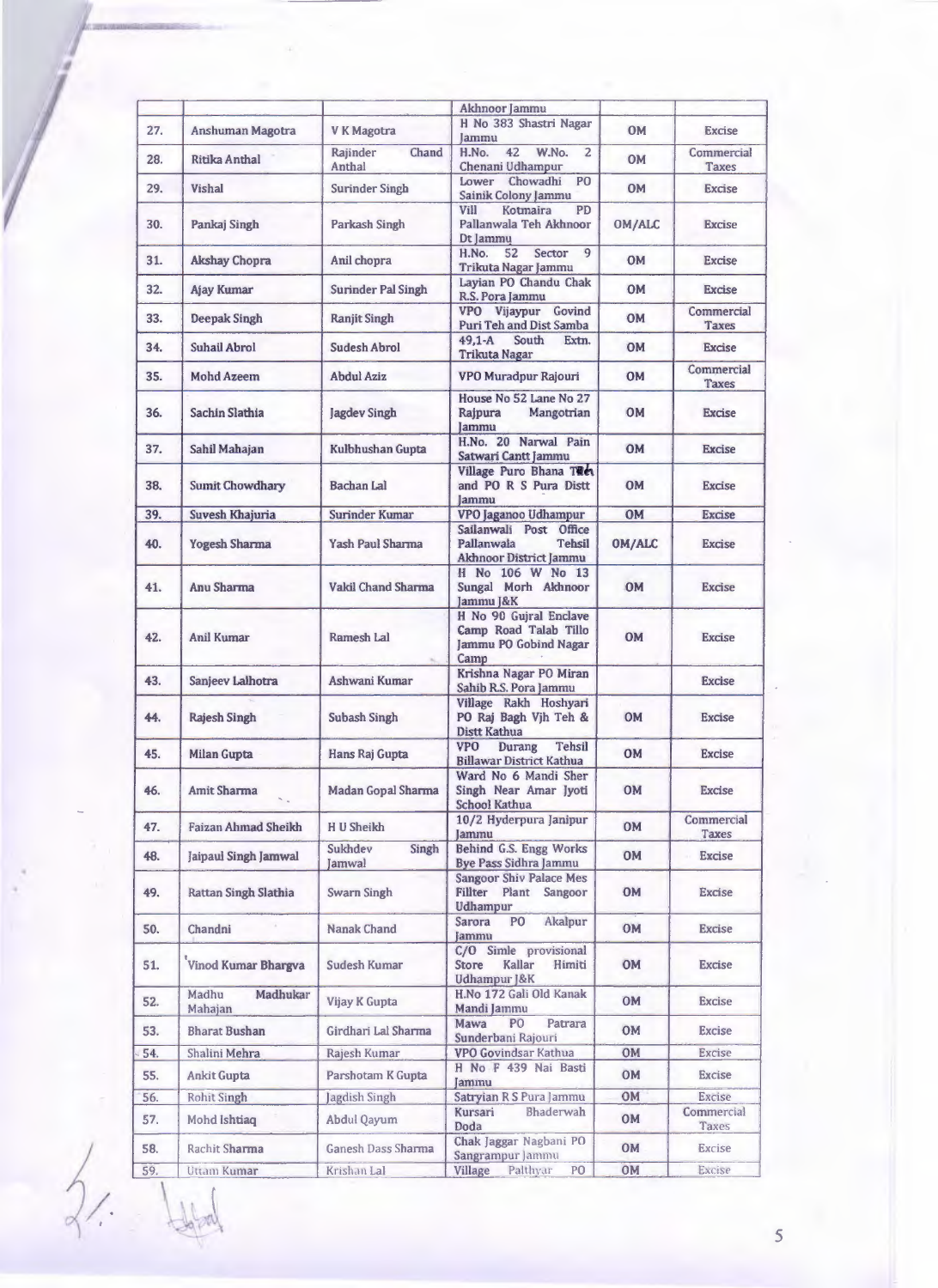|            |                              |                              | Akhnoor Jammu                                                                        |                        |                             |
|------------|------------------------------|------------------------------|--------------------------------------------------------------------------------------|------------------------|-----------------------------|
| 27.        | Anshuman Magotra             | V K Magotra                  | H No 383 Shastri Nagar<br>lammu                                                      | <b>OM</b>              | <b>Excise</b>               |
| 28.        | Ritika Anthal                | Rajinder<br>Chand<br>Anthal  | W.No.<br>H.No.<br>42<br>$\overline{2}$<br>Chenani Udhampur                           | <b>OM</b>              | Commercial<br>Taxes         |
| 29.        | <b>Vishal</b>                | <b>Surinder Singh</b>        | Lower Chowadhi<br>PO<br>Sainik Colony Jammu                                          | <b>OM</b>              | <b>Excise</b>               |
| 30.        | Pankaj Singh                 | Parkash Singh                | PD<br>Vill<br>Kotmaira<br>Pallanwala Teh Akhnoor<br>Dt Jammu                         | OM/ALC                 | <b>Excise</b>               |
| 31.        | <b>Akshay Chopra</b>         | Anil chopra                  | H.No.<br>52<br>Sector<br>9<br>Trikuta Nagar Jammu                                    | <b>OM</b>              | <b>Excise</b>               |
| 32.        | <b>Ajay Kumar</b>            | Surinder Pal Singh           | Layian PO Chandu Chak<br>R.S. Pora Jammu                                             | <b>OM</b>              | <b>Excise</b>               |
| 33.        | <b>Deepak Singh</b>          | <b>Ranjit Singh</b>          | VPO Vijaypur Govind<br>Puri Teh and Dist Samba                                       | <b>OM</b>              | Commercial<br><b>Taxes</b>  |
| 34.        | Suhail Abrol                 | Sudesh Abrol                 | $49.1 - A$<br>South<br>Extn.<br><b>Trikuta Nagar</b>                                 | <b>OM</b>              | <b>Excise</b>               |
| 35.        | <b>Mohd Azeem</b>            | <b>Abdul Aziz</b>            | VPO Muradpur Rajouri                                                                 | <b>OM</b>              | Commercial<br><b>Taxes</b>  |
| 36.        | Sachin Slathia               | <b>Jagdev Singh</b>          | House No 52 Lane No 27<br>Rajpura<br>Mangotrian<br>lammu                             | <b>OM</b>              | <b>Excise</b>               |
| 37.        | Sahil Mahajan                | Kulbhushan Gupta             | H.No. 20 Narwal Pain<br>Satwari Cantt Jammu                                          | OM                     | <b>Excise</b>               |
| 38.        | <b>Sumit Chowdhary</b>       | <b>Bachan Lal</b>            | Village Puro Bhana TRe<br>and PO R S Pura Distt<br>Jammu                             | <b>OM</b>              | Excise                      |
| 39.        | Suvesh Khajuria              | Surinder Kumar               | VPO Jaganoo Udhampur                                                                 | <b>OM</b>              | <b>Excise</b>               |
| 40.        | <b>Yogesh Sharma</b>         | <b>Yash Paul Sharma</b>      | Sailanwali Post Office<br>Pallanwala<br><b>Tehsil</b><br>Akhnoor District Jammu      | <b>OM/ALC</b>          | <b>Excise</b>               |
| 41.        | Anu Sharma                   | Vakil Chand Sharma           | H No 106 W No 13<br>Sungal Morh Akhnoor<br>Jammu J&K                                 | OM                     | <b>Excise</b>               |
| 42.        | <b>Anil Kumar</b>            | Ramesh Lal                   | H No 90 Gujral Enclave<br>Camp Road Talab Tillo<br>Jammu PO Gobind Nagar<br>Camp     | <b>OM</b>              | <b>Excise</b>               |
| 43.        | Sanjeev Lalhotra             | Ashwani Kumar                | Krishna Nagar PO Miran<br>Sahib R.S. Pora Jammu                                      |                        | <b>Excise</b>               |
| 44.        | <b>Rajesh Singh</b>          | <b>Subash Singh</b>          | Village Rakh Hoshyari<br>PO Raj Bagh Vjh Teh &<br>Distt Kathua                       | <b>OM</b>              | <b>Excise</b>               |
| 45.        | Milan Gupta                  | Hans Raj Gupta               | <b>VPO</b><br>Tehsil<br>Durang<br><b>Billawar District Kathua</b>                    | <b>OM</b>              | Excise                      |
| 46.        | Amit Sharma                  | Madan Gopal Sharma           | Ward No 6 Mandi Sher<br>Singh Near Amar Jyoti<br>School Kathua                       | <b>OM</b>              | <b>Excise</b>               |
| 47.        | <b>Faizan Ahmad Sheikh</b>   | H U Sheikh                   | 10/2 Hyderpura Janipur<br>Jammu                                                      | <b>OM</b>              | Commercial<br>Taxes         |
| 48.        | Jaipaul Singh Jamwal         | Sukhdev<br>Singh<br>Jamwal   | Behind G.S. Engg Works<br>Bye Pass Sidhra Jammu                                      | OM                     | <b>Excise</b>               |
| 49.        | Rattan Singh Slathia         | <b>Swarn Singh</b>           | <b>Sangoor Shiv Palace Mes</b><br>Fillter Plant Sangoor<br><b>Udhampur</b>           | <b>OM</b>              | Excise                      |
| 50.        | Chandni                      | Nanak Chand                  | Akalpur<br>Sarora<br>P <sub>O</sub><br>Jammu                                         | <b>OM</b>              | <b>Excise</b>               |
| 51.        | Vinod Kumar Bhargva          | Sudesh Kumar                 | C/O Simle provisional<br>Kallar<br>Himiti<br><b>Store</b><br><b>Udhampur 1&amp;K</b> | <b>OM</b>              | <b>Excise</b>               |
| 52.        | Madhu<br>Madhukar<br>Mahajan | Vijay K Gupta                | H.No 172 Gali Old Kanak<br>Mandi Jammu                                               | <b>OM</b>              | <b>Excise</b>               |
| 53.        | <b>Bharat Bushan</b>         | Girdhari Lal Sharma          | Patrara<br>Mawa<br>P <sub>O</sub>                                                    | <b>OM</b>              | Excise                      |
| 54.        | Shalini Mehra                | Rajesh Kumar                 | Sunderbani Rajouri<br><b>VPO Govindsar Kathua</b>                                    | OM                     | <b>Excise</b>               |
|            |                              | Parshotam K Gupta            | H No F 439 Nai Basti                                                                 | <b>OM</b>              | Excise                      |
| 55.        | <b>Ankit Gupta</b>           |                              | Jammu                                                                                |                        |                             |
| 56.<br>57. | Rohit Singh<br>Mohd Ishtiaq  | Jagdish Singh<br>Abdul Qayum | Satryian R S Pura Jammu<br><b>Bhaderwah</b><br>Kursari                               | <b>OM</b><br><b>OM</b> | <b>Excise</b><br>Commercial |
| 58.        | Rachit Sharma                | Ganesh Dass Sharma           | Doda<br>Chak Jaggar Nagbani PO                                                       | <b>OM</b>              | Taxes<br><b>Excise</b>      |
| 59.        | Uttam Kumar                  | Krishan Lal                  | Sangrampur Jammu<br>PO<br>Village<br>Palthyar                                        | <b>OM</b>              | Excise                      |
|            |                              |                              |                                                                                      |                        |                             |